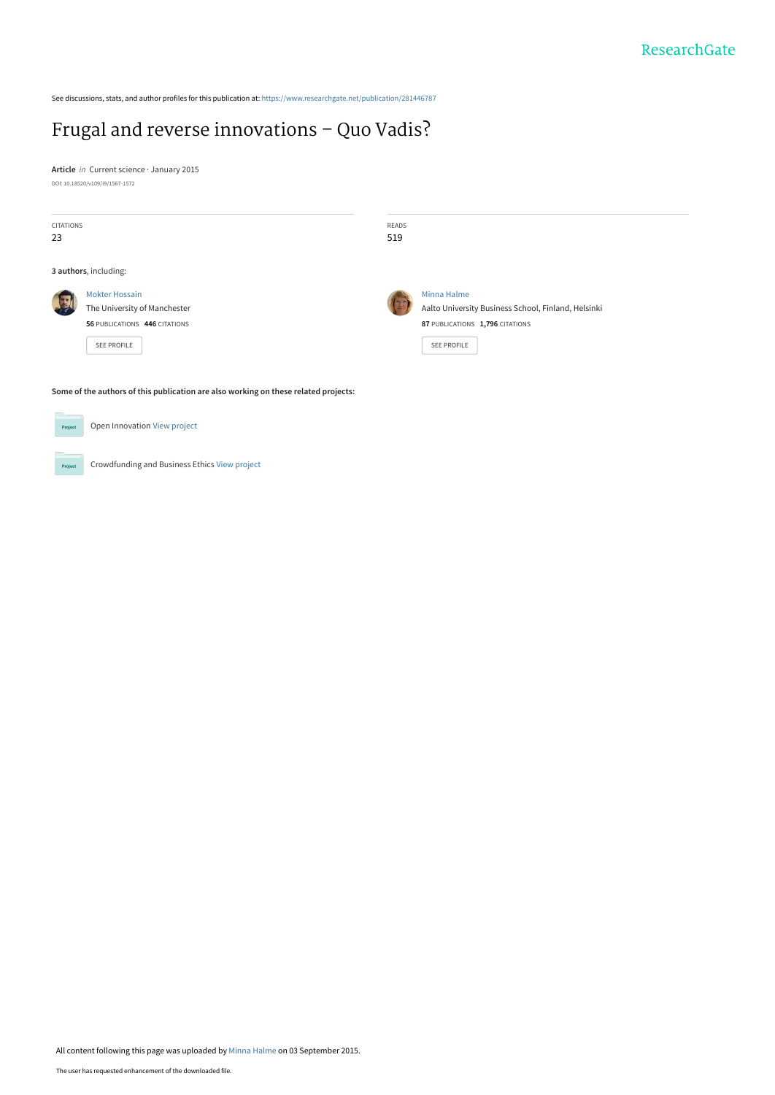See discussions, stats, and author profiles for this publication at: [https://www.researchgate.net/publication/281446787](https://www.researchgate.net/publication/281446787_Frugal_and_reverse_innovations_-_Quo_Vadis?enrichId=rgreq-1585ce44bf839ed5c3448586ef7bea56-XXX&enrichSource=Y292ZXJQYWdlOzI4MTQ0Njc4NztBUzoyNjk1MDM1OTQ0OTYwMTBAMTQ0MTI2NjA3MjkwNQ%3D%3D&el=1_x_2&_esc=publicationCoverPdf)

## [Frugal and reverse innovations – Quo Vadis?](https://www.researchgate.net/publication/281446787_Frugal_and_reverse_innovations_-_Quo_Vadis?enrichId=rgreq-1585ce44bf839ed5c3448586ef7bea56-XXX&enrichSource=Y292ZXJQYWdlOzI4MTQ0Njc4NztBUzoyNjk1MDM1OTQ0OTYwMTBAMTQ0MTI2NjA3MjkwNQ%3D%3D&el=1_x_3&_esc=publicationCoverPdf)

**Article** in Current science · January 2015 DOI: 10.18520/v109/i9/1567-1572

| <b>CITATIONS</b><br>23 |                                                                                        | READS<br>519 |                                                                                                       |
|------------------------|----------------------------------------------------------------------------------------|--------------|-------------------------------------------------------------------------------------------------------|
|                        | 3 authors, including:                                                                  |              |                                                                                                       |
|                        | <b>Mokter Hossain</b><br>The University of Manchester<br>56 PUBLICATIONS 446 CITATIONS |              | Minna Halme<br>Aalto University Business School, Finland, Helsinki<br>87 PUBLICATIONS 1,796 CITATIONS |
|                        | <b>SEE PROFILE</b>                                                                     |              | <b>SEE PROFILE</b>                                                                                    |

uthors of this publication are also working on these related projects:

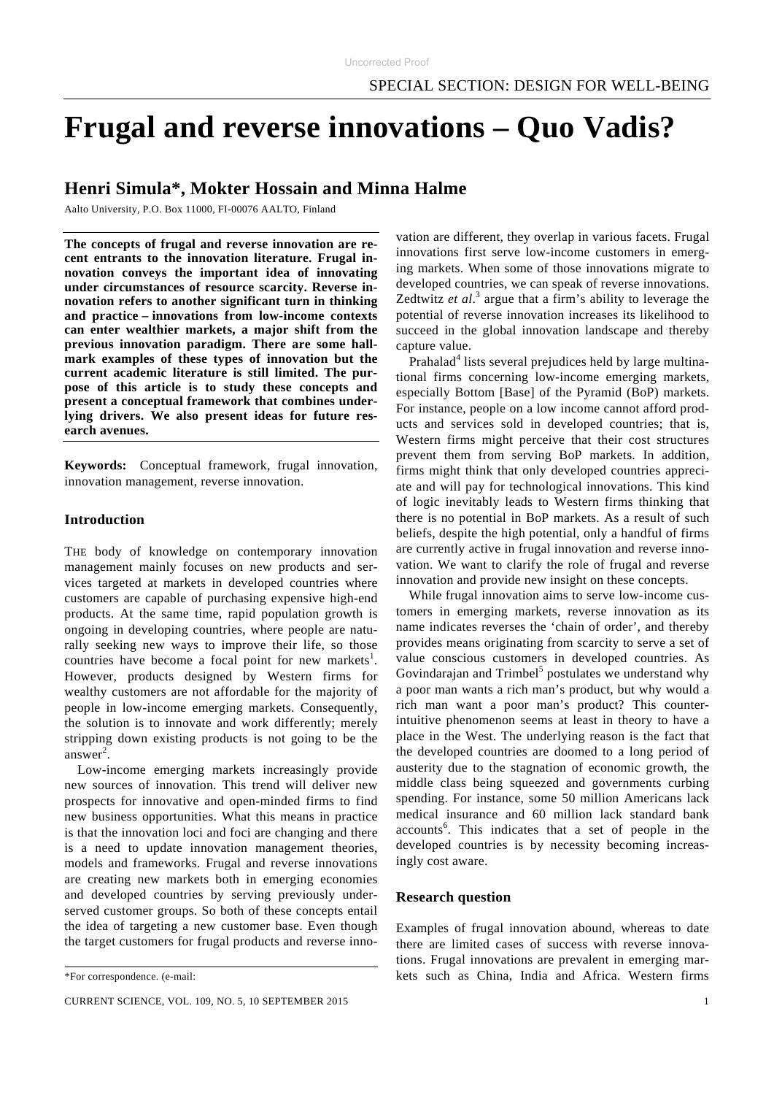# **Frugal and reverse innovations – Quo Vadis?**

## **Henri Simula\*, Mokter Hossain and Minna Halme**

Aalto University, P.O. Box 11000, FI-00076 AALTO, Finland

**The concepts of frugal and reverse innovation are recent entrants to the innovation literature. Frugal innovation conveys the important idea of innovating under circumstances of resource scarcity. Reverse innovation refers to another significant turn in thinking and practice – innovations from low-income contexts can enter wealthier markets, a major shift from the previous innovation paradigm. There are some hallmark examples of these types of innovation but the current academic literature is still limited. The purpose of this article is to study these concepts and present a conceptual framework that combines underlying drivers. We also present ideas for future research avenues.** 

**Keywords:** Conceptual framework, frugal innovation, innovation management, reverse innovation.

#### **Introduction**

THE body of knowledge on contemporary innovation management mainly focuses on new products and services targeted at markets in developed countries where customers are capable of purchasing expensive high-end products. At the same time, rapid population growth is ongoing in developing countries, where people are naturally seeking new ways to improve their life, so those countries have become a focal point for new markets<sup>1</sup>. However, products designed by Western firms for wealthy customers are not affordable for the majority of people in low-income emerging markets. Consequently, the solution is to innovate and work differently; merely stripping down existing products is not going to be the answer<sup>2</sup>.

 Low-income emerging markets increasingly provide new sources of innovation. This trend will deliver new prospects for innovative and open-minded firms to find new business opportunities. What this means in practice is that the innovation loci and foci are changing and there is a need to update innovation management theories, models and frameworks. Frugal and reverse innovations are creating new markets both in emerging economies and developed countries by serving previously underserved customer groups. So both of these concepts entail the idea of targeting a new customer base. Even though the target customers for frugal products and reverse innovation are different, they overlap in various facets. Frugal innovations first serve low-income customers in emerging markets. When some of those innovations migrate to developed countries, we can speak of reverse innovations. Zedtwitz et al.<sup>3</sup> argue that a firm's ability to leverage the potential of reverse innovation increases its likelihood to succeed in the global innovation landscape and thereby capture value.

Prahalad<sup>4</sup> lists several prejudices held by large multinational firms concerning low-income emerging markets, especially Bottom [Base] of the Pyramid (BoP) markets. For instance, people on a low income cannot afford products and services sold in developed countries; that is, Western firms might perceive that their cost structures prevent them from serving BoP markets. In addition, firms might think that only developed countries appreciate and will pay for technological innovations. This kind of logic inevitably leads to Western firms thinking that there is no potential in BoP markets. As a result of such beliefs, despite the high potential, only a handful of firms are currently active in frugal innovation and reverse innovation. We want to clarify the role of frugal and reverse innovation and provide new insight on these concepts.

 While frugal innovation aims to serve low-income customers in emerging markets, reverse innovation as its name indicates reverses the 'chain of order', and thereby provides means originating from scarcity to serve a set of value conscious customers in developed countries. As Govindarajan and Trimbel<sup>5</sup> postulates we understand why a poor man wants a rich man's product, but why would a rich man want a poor man's product? This counterintuitive phenomenon seems at least in theory to have a place in the West. The underlying reason is the fact that the developed countries are doomed to a long period of austerity due to the stagnation of economic growth, the middle class being squeezed and governments curbing spending. For instance, some 50 million Americans lack medical insurance and 60 million lack standard bank accounts<sup>6</sup>. This indicates that a set of people in the developed countries is by necessity becoming increasingly cost aware.

#### **Research question**

Examples of frugal innovation abound, whereas to date there are limited cases of success with reverse innovations. Frugal innovations are prevalent in emerging markets such as China, India and Africa. Western firms

<sup>\*</sup>For correspondence. (e-mail:

CURRENT SCIENCE, VOL. 109, NO. 5, 10 SEPTEMBER 2015 1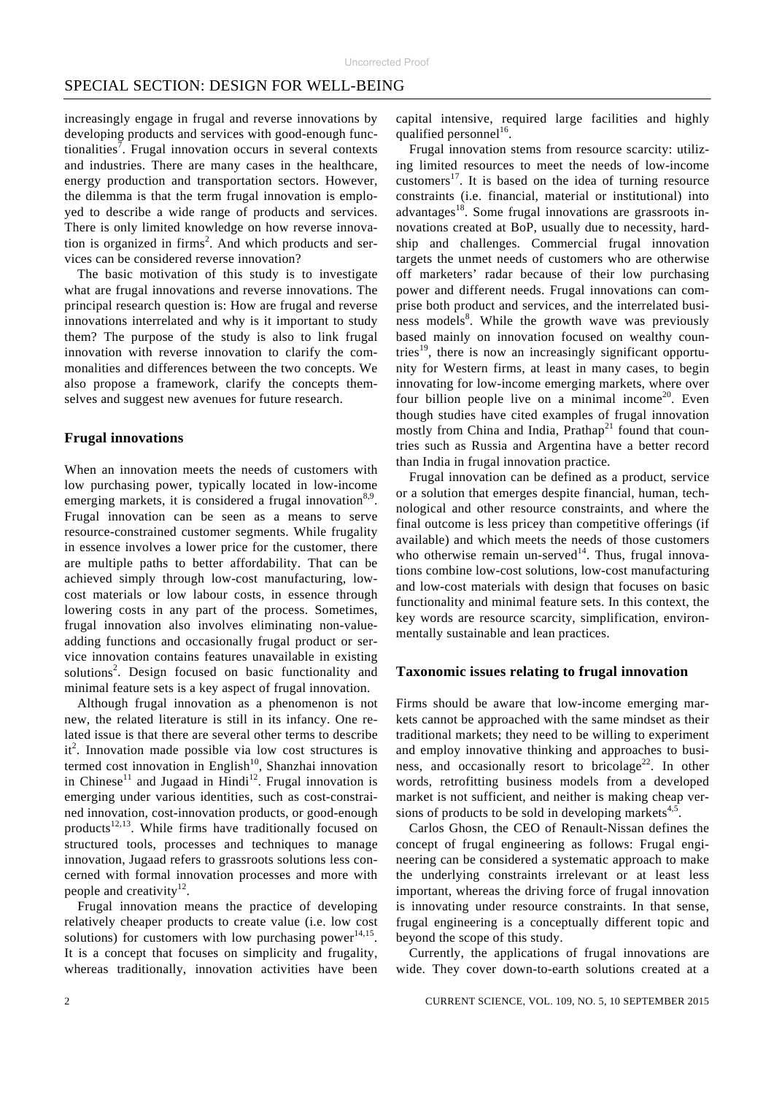## SPECIAL SECTION: DESIGN FOR WELL-BEING

increasingly engage in frugal and reverse innovations by developing products and services with good-enough functionalities<sup>7</sup>. Frugal innovation occurs in several contexts and industries. There are many cases in the healthcare, energy production and transportation sectors. However, the dilemma is that the term frugal innovation is employed to describe a wide range of products and services. There is only limited knowledge on how reverse innovation is organized in firms<sup>2</sup>. And which products and services can be considered reverse innovation?

 The basic motivation of this study is to investigate what are frugal innovations and reverse innovations. The principal research question is: How are frugal and reverse innovations interrelated and why is it important to study them? The purpose of the study is also to link frugal innovation with reverse innovation to clarify the commonalities and differences between the two concepts. We also propose a framework, clarify the concepts themselves and suggest new avenues for future research.

#### **Frugal innovations**

When an innovation meets the needs of customers with low purchasing power, typically located in low-income emerging markets, it is considered a frugal innovation $8.9$ . Frugal innovation can be seen as a means to serve resource-constrained customer segments. While frugality in essence involves a lower price for the customer, there are multiple paths to better affordability. That can be achieved simply through low-cost manufacturing, lowcost materials or low labour costs, in essence through lowering costs in any part of the process. Sometimes, frugal innovation also involves eliminating non-valueadding functions and occasionally frugal product or service innovation contains features unavailable in existing solutions<sup>2</sup>. Design focused on basic functionality and minimal feature sets is a key aspect of frugal innovation.

 Although frugal innovation as a phenomenon is not new, the related literature is still in its infancy. One related issue is that there are several other terms to describe  $it^2$ . Innovation made possible via low cost structures is termed cost innovation in English<sup>10</sup>, Shanzhai innovation in Chinese<sup>11</sup> and Jugaad in Hindi<sup>12</sup>. Frugal innovation is emerging under various identities, such as cost-constrained innovation, cost-innovation products, or good-enough products $12,13$ . While firms have traditionally focused on structured tools, processes and techniques to manage innovation, Jugaad refers to grassroots solutions less concerned with formal innovation processes and more with people and creativity $12$ .

 Frugal innovation means the practice of developing relatively cheaper products to create value (i.e. low cost solutions) for customers with low purchasing power<sup>14,15</sup>. It is a concept that focuses on simplicity and frugality, whereas traditionally, innovation activities have been capital intensive, required large facilities and highly qualified personnel<sup>16</sup>.

 Frugal innovation stems from resource scarcity: utilizing limited resources to meet the needs of low-income customers<sup>17</sup>. It is based on the idea of turning resource constraints (i.e. financial, material or institutional) into advantages $18$ . Some frugal innovations are grassroots innovations created at BoP, usually due to necessity, hardship and challenges. Commercial frugal innovation targets the unmet needs of customers who are otherwise off marketers' radar because of their low purchasing power and different needs. Frugal innovations can comprise both product and services, and the interrelated business models<sup>8</sup>. While the growth wave was previously based mainly on innovation focused on wealthy countries<sup>19</sup>, there is now an increasingly significant opportunity for Western firms, at least in many cases, to begin innovating for low-income emerging markets, where over four billion people live on a minimal income<sup>20</sup>. Even though studies have cited examples of frugal innovation mostly from China and India, Prathap<sup>21</sup> found that countries such as Russia and Argentina have a better record than India in frugal innovation practice.

 Frugal innovation can be defined as a product, service or a solution that emerges despite financial, human, technological and other resource constraints, and where the final outcome is less pricey than competitive offerings (if available) and which meets the needs of those customers who otherwise remain un-served $14$ . Thus, frugal innovations combine low-cost solutions, low-cost manufacturing and low-cost materials with design that focuses on basic functionality and minimal feature sets. In this context, the key words are resource scarcity, simplification, environmentally sustainable and lean practices.

#### **Taxonomic issues relating to frugal innovation**

Firms should be aware that low-income emerging markets cannot be approached with the same mindset as their traditional markets; they need to be willing to experiment and employ innovative thinking and approaches to business, and occasionally resort to bricolage<sup>22</sup>. In other words, retrofitting business models from a developed market is not sufficient, and neither is making cheap versions of products to be sold in developing markets<sup>4,5</sup>.

 Carlos Ghosn, the CEO of Renault-Nissan defines the concept of frugal engineering as follows: Frugal engineering can be considered a systematic approach to make the underlying constraints irrelevant or at least less important, whereas the driving force of frugal innovation is innovating under resource constraints. In that sense, frugal engineering is a conceptually different topic and beyond the scope of this study.

 Currently, the applications of frugal innovations are wide. They cover down-to-earth solutions created at a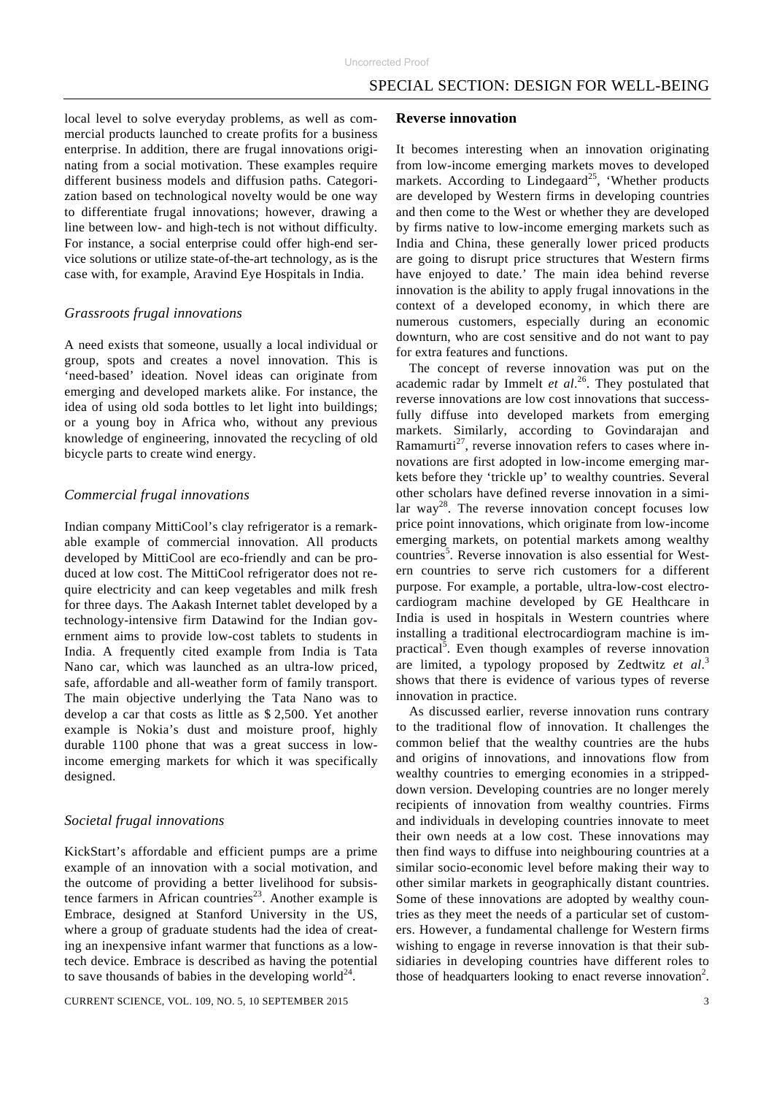local level to solve everyday problems, as well as commercial products launched to create profits for a business enterprise. In addition, there are frugal innovations originating from a social motivation. These examples require different business models and diffusion paths. Categorization based on technological novelty would be one way to differentiate frugal innovations; however, drawing a line between low- and high-tech is not without difficulty. For instance, a social enterprise could offer high-end service solutions or utilize state-of-the-art technology, as is the case with, for example, Aravind Eye Hospitals in India.

#### *Grassroots frugal innovations*

A need exists that someone, usually a local individual or group, spots and creates a novel innovation. This is 'need-based' ideation. Novel ideas can originate from emerging and developed markets alike. For instance, the idea of using old soda bottles to let light into buildings; or a young boy in Africa who, without any previous knowledge of engineering, innovated the recycling of old bicycle parts to create wind energy.

#### *Commercial frugal innovations*

Indian company MittiCool's clay refrigerator is a remarkable example of commercial innovation. All products developed by MittiCool are eco-friendly and can be produced at low cost. The MittiCool refrigerator does not require electricity and can keep vegetables and milk fresh for three days. The Aakash Internet tablet developed by a technology-intensive firm Datawind for the Indian government aims to provide low-cost tablets to students in India. A frequently cited example from India is Tata Nano car, which was launched as an ultra-low priced, safe, affordable and all-weather form of family transport. The main objective underlying the Tata Nano was to develop a car that costs as little as \$ 2,500. Yet another example is Nokia's dust and moisture proof, highly durable 1100 phone that was a great success in lowincome emerging markets for which it was specifically designed.

#### *Societal frugal innovations*

KickStart's affordable and efficient pumps are a prime example of an innovation with a social motivation, and the outcome of providing a better livelihood for subsistence farmers in African countries<sup>23</sup>. Another example is Embrace, designed at Stanford University in the US, where a group of graduate students had the idea of creating an inexpensive infant warmer that functions as a lowtech device. Embrace is described as having the potential to save thousands of babies in the developing world<sup>24</sup>.

#### **Reverse innovation**

It becomes interesting when an innovation originating from low-income emerging markets moves to developed markets. According to Lindegaard<sup>25</sup>, 'Whether products are developed by Western firms in developing countries and then come to the West or whether they are developed by firms native to low-income emerging markets such as India and China, these generally lower priced products are going to disrupt price structures that Western firms have enjoyed to date.' The main idea behind reverse innovation is the ability to apply frugal innovations in the context of a developed economy, in which there are numerous customers, especially during an economic downturn, who are cost sensitive and do not want to pay for extra features and functions.

 The concept of reverse innovation was put on the academic radar by Immelt *et al*. 26. They postulated that reverse innovations are low cost innovations that successfully diffuse into developed markets from emerging markets. Similarly, according to Govindarajan and Ramamurti<sup>27</sup>, reverse innovation refers to cases where innovations are first adopted in low-income emerging markets before they 'trickle up' to wealthy countries. Several other scholars have defined reverse innovation in a similar way<sup>28</sup>. The reverse innovation concept focuses low price point innovations, which originate from low-income emerging markets, on potential markets among wealthy countries<sup>5</sup>. Reverse innovation is also essential for Western countries to serve rich customers for a different purpose. For example, a portable, ultra-low-cost electrocardiogram machine developed by GE Healthcare in India is used in hospitals in Western countries where installing a traditional electrocardiogram machine is impractical<sup>5</sup>. Even though examples of reverse innovation are limited, a typology proposed by Zedtwitz *et al*. 3 shows that there is evidence of various types of reverse innovation in practice.

 As discussed earlier, reverse innovation runs contrary to the traditional flow of innovation. It challenges the common belief that the wealthy countries are the hubs and origins of innovations, and innovations flow from wealthy countries to emerging economies in a strippeddown version. Developing countries are no longer merely recipients of innovation from wealthy countries. Firms and individuals in developing countries innovate to meet their own needs at a low cost. These innovations may then find ways to diffuse into neighbouring countries at a similar socio-economic level before making their way to other similar markets in geographically distant countries. Some of these innovations are adopted by wealthy countries as they meet the needs of a particular set of customers. However, a fundamental challenge for Western firms wishing to engage in reverse innovation is that their subsidiaries in developing countries have different roles to those of headquarters looking to enact reverse innovation<sup>2</sup>.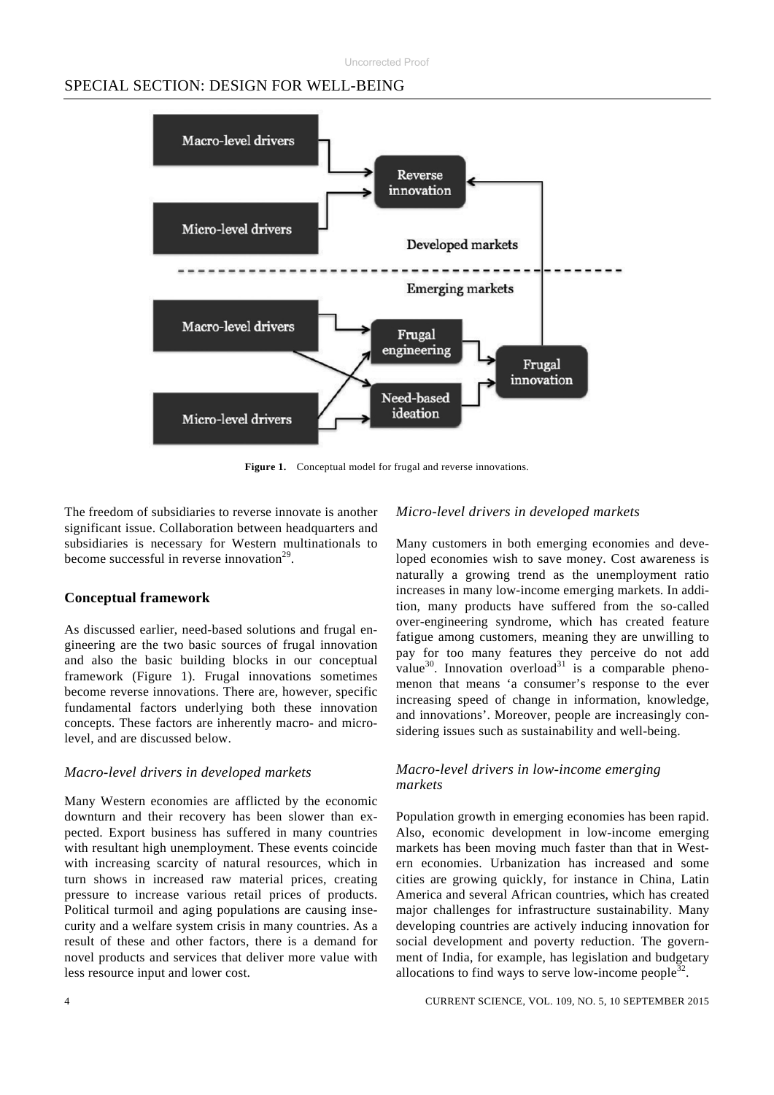## SPECIAL SECTION: DESIGN FOR WELL-BEING



Figure 1. Conceptual model for frugal and reverse innovations.

The freedom of subsidiaries to reverse innovate is another significant issue. Collaboration between headquarters and subsidiaries is necessary for Western multinationals to become successful in reverse innovation $^{29}$ .

#### **Conceptual framework**

As discussed earlier, need-based solutions and frugal engineering are the two basic sources of frugal innovation and also the basic building blocks in our conceptual framework (Figure 1). Frugal innovations sometimes become reverse innovations. There are, however, specific fundamental factors underlying both these innovation concepts. These factors are inherently macro- and microlevel, and are discussed below.

#### *Macro-level drivers in developed markets*

Many Western economies are afflicted by the economic downturn and their recovery has been slower than expected. Export business has suffered in many countries with resultant high unemployment. These events coincide with increasing scarcity of natural resources, which in turn shows in increased raw material prices, creating pressure to increase various retail prices of products. Political turmoil and aging populations are causing insecurity and a welfare system crisis in many countries. As a result of these and other factors, there is a demand for novel products and services that deliver more value with less resource input and lower cost.

## *Micro-level drivers in developed markets*

Many customers in both emerging economies and developed economies wish to save money. Cost awareness is naturally a growing trend as the unemployment ratio increases in many low-income emerging markets. In addition, many products have suffered from the so-called over-engineering syndrome, which has created feature fatigue among customers, meaning they are unwilling to pay for too many features they perceive do not add value<sup>30</sup>. Innovation overload<sup>31</sup> is a comparable phenomenon that means 'a consumer's response to the ever increasing speed of change in information, knowledge, and innovations'. Moreover, people are increasingly considering issues such as sustainability and well-being.

#### *Macro-level drivers in low-income emerging markets*

Population growth in emerging economies has been rapid. Also, economic development in low-income emerging markets has been moving much faster than that in Western economies. Urbanization has increased and some cities are growing quickly, for instance in China, Latin America and several African countries, which has created major challenges for infrastructure sustainability. Many developing countries are actively inducing innovation for social development and poverty reduction. The government of India, for example, has legislation and budgetary allocations to find ways to serve low-income people<sup>32</sup>.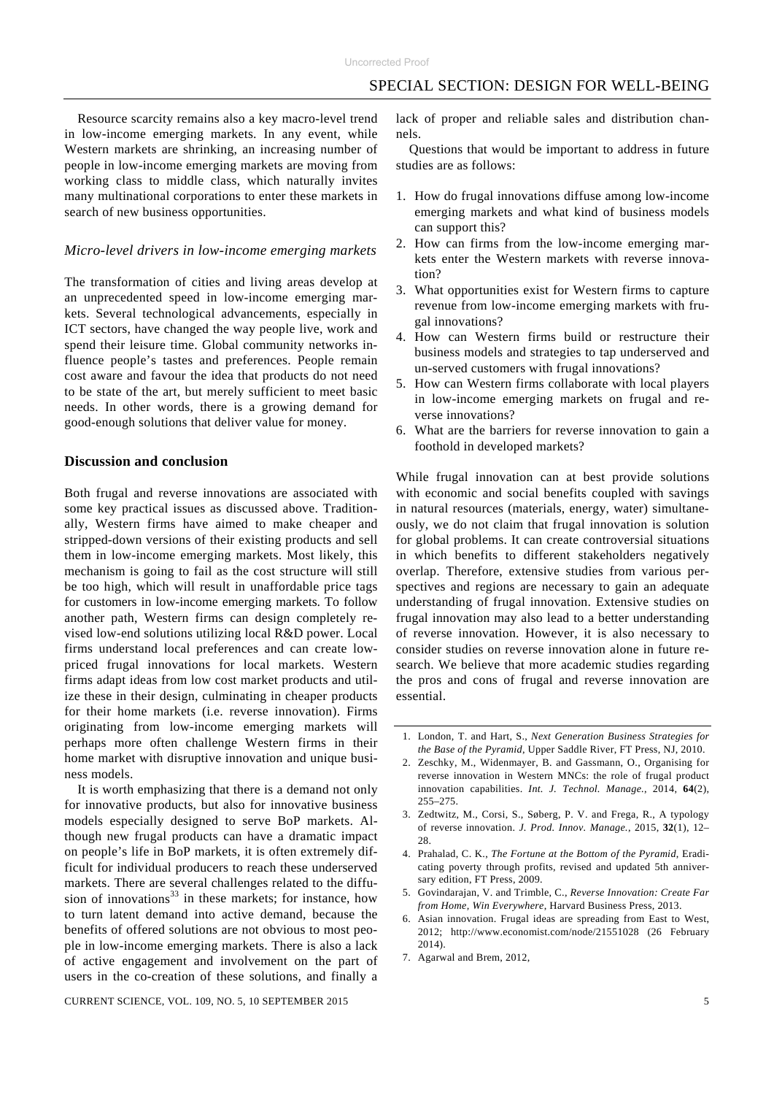Resource scarcity remains also a key macro-level trend in low-income emerging markets. In any event, while Western markets are shrinking, an increasing number of people in low-income emerging markets are moving from working class to middle class, which naturally invites many multinational corporations to enter these markets in search of new business opportunities.

#### *Micro-level drivers in low-income emerging markets*

The transformation of cities and living areas develop at an unprecedented speed in low-income emerging markets. Several technological advancements, especially in ICT sectors, have changed the way people live, work and spend their leisure time. Global community networks influence people's tastes and preferences. People remain cost aware and favour the idea that products do not need to be state of the art, but merely sufficient to meet basic needs. In other words, there is a growing demand for good-enough solutions that deliver value for money.

## **Discussion and conclusion**

Both frugal and reverse innovations are associated with some key practical issues as discussed above. Traditionally, Western firms have aimed to make cheaper and stripped-down versions of their existing products and sell them in low-income emerging markets. Most likely, this mechanism is going to fail as the cost structure will still be too high, which will result in unaffordable price tags for customers in low-income emerging markets. To follow another path, Western firms can design completely revised low-end solutions utilizing local R&D power. Local firms understand local preferences and can create lowpriced frugal innovations for local markets. Western firms adapt ideas from low cost market products and utilize these in their design, culminating in cheaper products for their home markets (i.e. reverse innovation). Firms originating from low-income emerging markets will perhaps more often challenge Western firms in their home market with disruptive innovation and unique business models.

 It is worth emphasizing that there is a demand not only for innovative products, but also for innovative business models especially designed to serve BoP markets. Although new frugal products can have a dramatic impact on people's life in BoP markets, it is often extremely difficult for individual producers to reach these underserved markets. There are several challenges related to the diffusion of innovations<sup>33</sup> in these markets; for instance, how to turn latent demand into active demand, because the benefits of offered solutions are not obvious to most people in low-income emerging markets. There is also a lack of active engagement and involvement on the part of users in the co-creation of these solutions, and finally a

CURRENT SCIENCE, VOL. 109, NO. 5, 10 SEPTEMBER 2015 5

lack of proper and reliable sales and distribution channels.

 Questions that would be important to address in future studies are as follows:

- 1. How do frugal innovations diffuse among low-income emerging markets and what kind of business models can support this?
- 2. How can firms from the low-income emerging markets enter the Western markets with reverse innovation?
- 3. What opportunities exist for Western firms to capture revenue from low-income emerging markets with frugal innovations?
- 4. How can Western firms build or restructure their business models and strategies to tap underserved and un-served customers with frugal innovations?
- 5. How can Western firms collaborate with local players in low-income emerging markets on frugal and reverse innovations?
- 6. What are the barriers for reverse innovation to gain a foothold in developed markets?

While frugal innovation can at best provide solutions with economic and social benefits coupled with savings in natural resources (materials, energy, water) simultaneously, we do not claim that frugal innovation is solution for global problems. It can create controversial situations in which benefits to different stakeholders negatively overlap. Therefore, extensive studies from various perspectives and regions are necessary to gain an adequate understanding of frugal innovation. Extensive studies on frugal innovation may also lead to a better understanding of reverse innovation. However, it is also necessary to consider studies on reverse innovation alone in future research. We believe that more academic studies regarding the pros and cons of frugal and reverse innovation are essential.

- 4. Prahalad, C. K., *The Fortune at the Bottom of the Pyramid*, Eradicating poverty through profits, revised and updated 5th anniversary edition, FT Press, 2009.
- 5. Govindarajan, V. and Trimble, C., *Reverse Innovation: Create Far from Home, Win Everywhere*, Harvard Business Press, 2013.
- 6. Asian innovation. Frugal ideas are spreading from East to West, 2012; http://www.economist.com/node/21551028 (26 February 2014).
- 7. Agarwal and Brem, 2012,

<sup>1.</sup> London, T. and Hart, S., *Next Generation Business Strategies for the Base of the Pyramid*, Upper Saddle River, FT Press, NJ, 2010.

<sup>2.</sup> Zeschky, M., Widenmayer, B. and Gassmann, O., Organising for reverse innovation in Western MNCs: the role of frugal product innovation capabilities. *Int. J. Technol. Manage.*, 2014, **64**(2), 255–275.

<sup>3.</sup> Zedtwitz, M., Corsi, S., Søberg, P. V. and Frega, R., A typology of reverse innovation. *J. Prod. Innov. Manage.*, 2015, **32**(1), 12– 28.